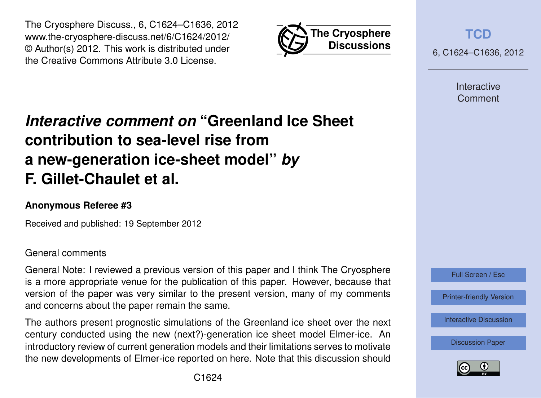



**[TCD](http://www.the-cryosphere-discuss.net)**

6, C1624–C1636, 2012

Interactive Comment

# *Interactive comment on* **"Greenland Ice Sheet contribution to sea-level rise from a new-generation ice-sheet model"** *by* **F. Gillet-Chaulet et al.**

## **Anonymous Referee #3**

Received and published: 19 September 2012

#### General comments

General Note: I reviewed a previous version of this paper and I think The Cryosphere is a more appropriate venue for the publication of this paper. However, because that version of the paper was very similar to the present version, many of my comments and concerns about the paper remain the same.

The authors present prognostic simulations of the Greenland ice sheet over the next century conducted using the new (next?)-generation ice sheet model Elmer-ice. An introductory review of current generation models and their limitations serves to motivate the new developments of Elmer-ice reported on here. Note that this discussion should



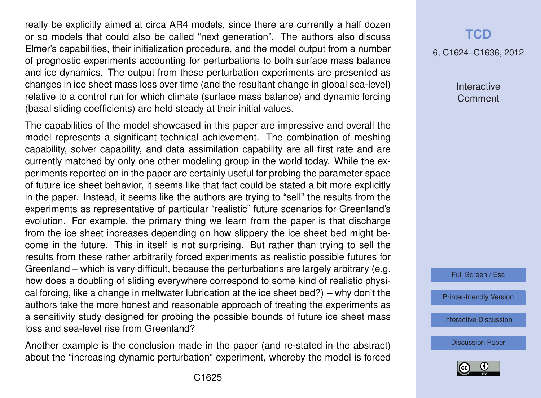really be explicitly aimed at circa AR4 models, since there are currently a half dozen or so models that could also be called "next generation". The authors also discuss Elmer's capabilities, their initialization procedure, and the model output from a number of prognostic experiments accounting for perturbations to both surface mass balance and ice dynamics. The output from these perturbation experiments are presented as changes in ice sheet mass loss over time (and the resultant change in global sea-level) relative to a control run for which climate (surface mass balance) and dynamic forcing (basal sliding coefficients) are held steady at their initial values.

The capabilities of the model showcased in this paper are impressive and overall the model represents a significant technical achievement. The combination of meshing capability, solver capability, and data assimilation capability are all first rate and are currently matched by only one other modeling group in the world today. While the experiments reported on in the paper are certainly useful for probing the parameter space of future ice sheet behavior, it seems like that fact could be stated a bit more explicitly in the paper. Instead, it seems like the authors are trying to "sell" the results from the experiments as representative of particular "realistic" future scenarios for Greenland's evolution. For example, the primary thing we learn from the paper is that discharge from the ice sheet increases depending on how slippery the ice sheet bed might become in the future. This in itself is not surprising. But rather than trying to sell the results from these rather arbitrarily forced experiments as realistic possible futures for Greenland – which is very difficult, because the perturbations are largely arbitrary (e.g. how does a doubling of sliding everywhere correspond to some kind of realistic physical forcing, like a change in meltwater lubrication at the ice sheet bed?) – why don't the authors take the more honest and reasonable approach of treating the experiments as a sensitivity study designed for probing the possible bounds of future ice sheet mass loss and sea-level rise from Greenland?

Another example is the conclusion made in the paper (and re-stated in the abstract) about the "increasing dynamic perturbation" experiment, whereby the model is forced

### **[TCD](http://www.the-cryosphere-discuss.net)**

6, C1624–C1636, 2012

Interactive **Comment** 

Full Screen / Esc

[Printer-friendly Version](http://www.the-cryosphere-discuss.net/6/C1624/2012/tcd-6-C1624-2012-print.pdf)

[Interactive Discussion](http://www.the-cryosphere-discuss.net/6/2789/2012/tcd-6-2789-2012-discussion.html)

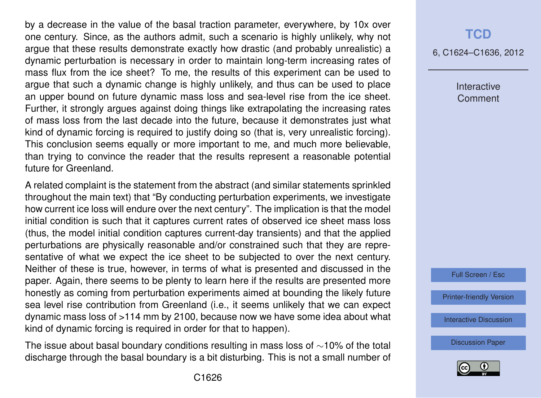by a decrease in the value of the basal traction parameter, everywhere, by 10x over one century. Since, as the authors admit, such a scenario is highly unlikely, why not argue that these results demonstrate exactly how drastic (and probably unrealistic) a dynamic perturbation is necessary in order to maintain long-term increasing rates of mass flux from the ice sheet? To me, the results of this experiment can be used to argue that such a dynamic change is highly unlikely, and thus can be used to place an upper bound on future dynamic mass loss and sea-level rise from the ice sheet. Further, it strongly argues against doing things like extrapolating the increasing rates of mass loss from the last decade into the future, because it demonstrates just what kind of dynamic forcing is required to justify doing so (that is, very unrealistic forcing). This conclusion seems equally or more important to me, and much more believable, than trying to convince the reader that the results represent a reasonable potential future for Greenland.

A related complaint is the statement from the abstract (and similar statements sprinkled throughout the main text) that "By conducting perturbation experiments, we investigate how current ice loss will endure over the next century". The implication is that the model initial condition is such that it captures current rates of observed ice sheet mass loss (thus, the model initial condition captures current-day transients) and that the applied perturbations are physically reasonable and/or constrained such that they are representative of what we expect the ice sheet to be subjected to over the next century. Neither of these is true, however, in terms of what is presented and discussed in the paper. Again, there seems to be plenty to learn here if the results are presented more honestly as coming from perturbation experiments aimed at bounding the likely future sea level rise contribution from Greenland (i.e., it seems unlikely that we can expect dynamic mass loss of >114 mm by 2100, because now we have some idea about what kind of dynamic forcing is required in order for that to happen).

The issue about basal boundary conditions resulting in mass loss of ∼10% of the total discharge through the basal boundary is a bit disturbing. This is not a small number of

## **[TCD](http://www.the-cryosphere-discuss.net)**

6, C1624–C1636, 2012

Interactive **Comment** 



[Printer-friendly Version](http://www.the-cryosphere-discuss.net/6/C1624/2012/tcd-6-C1624-2012-print.pdf)

[Interactive Discussion](http://www.the-cryosphere-discuss.net/6/2789/2012/tcd-6-2789-2012-discussion.html)

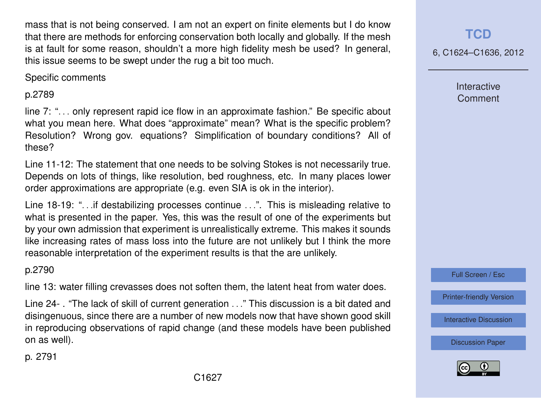mass that is not being conserved. I am not an expert on finite elements but I do know that there are methods for enforcing conservation both locally and globally. If the mesh is at fault for some reason, shouldn't a more high fidelity mesh be used? In general, this issue seems to be swept under the rug a bit too much.

Specific comments

#### p.2789

line 7: ". . . only represent rapid ice flow in an approximate fashion." Be specific about what you mean here. What does "approximate" mean? What is the specific problem? Resolution? Wrong gov. equations? Simplification of boundary conditions? All of these?

Line 11-12: The statement that one needs to be solving Stokes is not necessarily true. Depends on lots of things, like resolution, bed roughness, etc. In many places lower order approximations are appropriate (e.g. even SIA is ok in the interior).

Line 18-19: "...if destabilizing processes continue ...". This is misleading relative to what is presented in the paper. Yes, this was the result of one of the experiments but by your own admission that experiment is unrealistically extreme. This makes it sounds like increasing rates of mass loss into the future are not unlikely but I think the more reasonable interpretation of the experiment results is that the are unlikely.

p.2790

line 13: water filling crevasses does not soften them, the latent heat from water does.

Line 24- . "The lack of skill of current generation . . ." This discussion is a bit dated and disingenuous, since there are a number of new models now that have shown good skill in reproducing observations of rapid change (and these models have been published on as well).

**[TCD](http://www.the-cryosphere-discuss.net)**

6, C1624–C1636, 2012

Interactive Comment

Full Screen / Esc

[Printer-friendly Version](http://www.the-cryosphere-discuss.net/6/C1624/2012/tcd-6-C1624-2012-print.pdf)

[Interactive Discussion](http://www.the-cryosphere-discuss.net/6/2789/2012/tcd-6-2789-2012-discussion.html)

[Discussion Paper](http://www.the-cryosphere-discuss.net/6/2789/2012/tcd-6-2789-2012.pdf)



p. 2791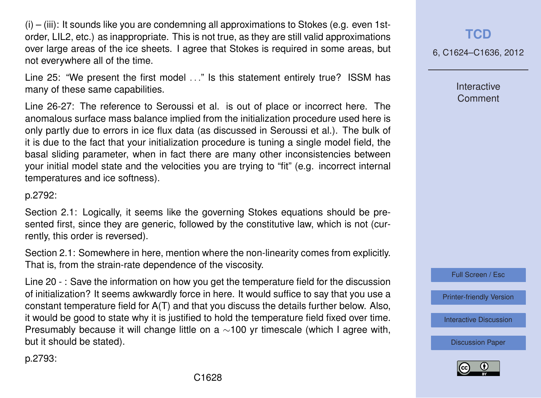$(i)$  –  $(iii)$ : It sounds like you are condemning all approximations to Stokes (e.g. even 1storder, LIL2, etc.) as inappropriate. This is not true, as they are still valid approximations over large areas of the ice sheets. I agree that Stokes is required in some areas, but not everywhere all of the time.

Line 25: "We present the first model ..." Is this statement entirely true? ISSM has many of these same capabilities.

Line 26-27: The reference to Seroussi et al. is out of place or incorrect here. The anomalous surface mass balance implied from the initialization procedure used here is only partly due to errors in ice flux data (as discussed in Seroussi et al.). The bulk of it is due to the fact that your initialization procedure is tuning a single model field, the basal sliding parameter, when in fact there are many other inconsistencies between your initial model state and the velocities you are trying to "fit" (e.g. incorrect internal temperatures and ice softness).

p.2792:

Section 2.1: Logically, it seems like the governing Stokes equations should be presented first, since they are generic, followed by the constitutive law, which is not (currently, this order is reversed).

Section 2.1: Somewhere in here, mention where the non-linearity comes from explicitly. That is, from the strain-rate dependence of the viscosity.

Line 20 - : Save the information on how you get the temperature field for the discussion of initialization? It seems awkwardly force in here. It would suffice to say that you use a constant temperature field for A(T) and that you discuss the details further below. Also, it would be good to state why it is justified to hold the temperature field fixed over time. Presumably because it will change little on a ∼100 yr timescale (which I agree with, but it should be stated).

**[TCD](http://www.the-cryosphere-discuss.net)**

6, C1624–C1636, 2012

Interactive **Comment** 

Full Screen / Esc

[Printer-friendly Version](http://www.the-cryosphere-discuss.net/6/C1624/2012/tcd-6-C1624-2012-print.pdf)

[Interactive Discussion](http://www.the-cryosphere-discuss.net/6/2789/2012/tcd-6-2789-2012-discussion.html)

[Discussion Paper](http://www.the-cryosphere-discuss.net/6/2789/2012/tcd-6-2789-2012.pdf)



p.2793: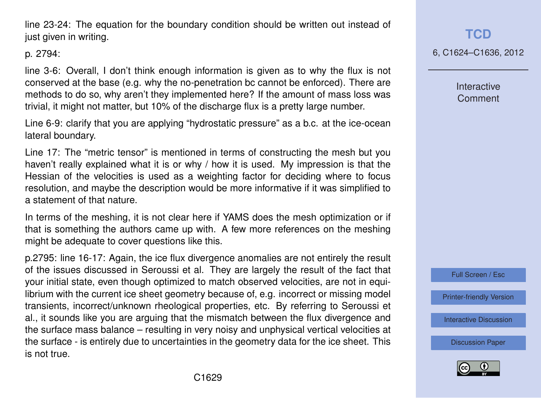C1629

line 23-24: The equation for the boundary condition should be written out instead of just given in writing.

p. 2794:

line 3-6: Overall, I don't think enough information is given as to why the flux is not conserved at the base (e.g. why the no-penetration bc cannot be enforced). There are methods to do so, why aren't they implemented here? If the amount of mass loss was trivial, it might not matter, but 10% of the discharge flux is a pretty large number.

Line 6-9: clarify that you are applying "hydrostatic pressure" as a b.c. at the ice-ocean lateral boundary.

Line 17: The "metric tensor" is mentioned in terms of constructing the mesh but you haven't really explained what it is or why / how it is used. My impression is that the Hessian of the velocities is used as a weighting factor for deciding where to focus resolution, and maybe the description would be more informative if it was simplified to a statement of that nature.

In terms of the meshing, it is not clear here if YAMS does the mesh optimization or if that is something the authors came up with. A few more references on the meshing might be adequate to cover questions like this.

p.2795: line 16-17: Again, the ice flux divergence anomalies are not entirely the result of the issues discussed in Seroussi et al. They are largely the result of the fact that your initial state, even though optimized to match observed velocities, are not in equilibrium with the current ice sheet geometry because of, e.g. incorrect or missing model transients, incorrect/unknown rheological properties, etc. By referring to Seroussi et al., it sounds like you are arguing that the mismatch between the flux divergence and the surface mass balance – resulting in very noisy and unphysical vertical velocities at the surface - is entirely due to uncertainties in the geometry data for the ice sheet. This is not true.

## **[TCD](http://www.the-cryosphere-discuss.net)**

6, C1624–C1636, 2012

Interactive Comment



[Printer-friendly Version](http://www.the-cryosphere-discuss.net/6/C1624/2012/tcd-6-C1624-2012-print.pdf)

[Interactive Discussion](http://www.the-cryosphere-discuss.net/6/2789/2012/tcd-6-2789-2012-discussion.html)

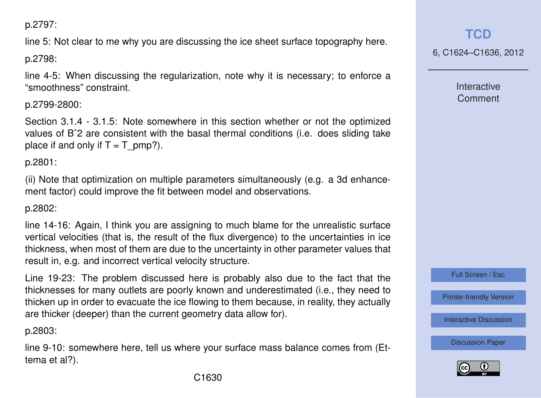p.2797:

line 5: Not clear to me why you are discussing the ice sheet surface topography here.

p.2798:

line 4-5: When discussing the regularization, note why it is necessary; to enforce a "smoothness" constraint.

p.2799-2800:

Section 3.1.4 - 3.1.5: Note somewhere in this section whether or not the optimized values of Bˆ2 are consistent with the basal thermal conditions (i.e. does sliding take place if and only if  $T = T$  pmp?).

p.2801:

(ii) Note that optimization on multiple parameters simultaneously (e.g. a 3d enhancement factor) could improve the fit between model and observations.

## p.2802:

line 14-16: Again, I think you are assigning to much blame for the unrealistic surface vertical velocities (that is, the result of the flux divergence) to the uncertainties in ice thickness, when most of them are due to the uncertainty in other parameter values that result in, e.g. and incorrect vertical velocity structure.

Line 19-23: The problem discussed here is probably also due to the fact that the thicknesses for many outlets are poorly known and underestimated (i.e., they need to thicken up in order to evacuate the ice flowing to them because, in reality, they actually are thicker (deeper) than the current geometry data allow for).

p.2803:

line 9-10: somewhere here, tell us where your surface mass balance comes from (Ettema et al?).

**[TCD](http://www.the-cryosphere-discuss.net)**

6, C1624–C1636, 2012

**Interactive Comment** 

Full Screen / Esc

[Printer-friendly Version](http://www.the-cryosphere-discuss.net/6/C1624/2012/tcd-6-C1624-2012-print.pdf)

[Interactive Discussion](http://www.the-cryosphere-discuss.net/6/2789/2012/tcd-6-2789-2012-discussion.html)

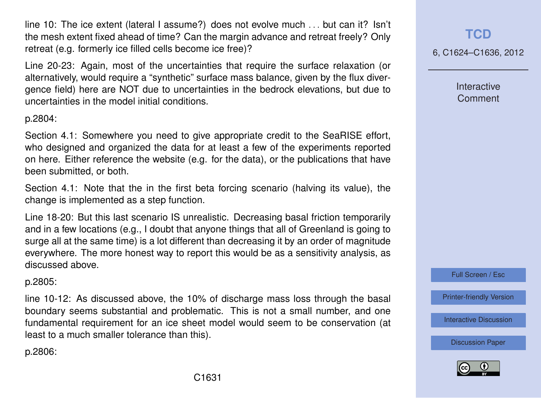line 10: The ice extent (lateral I assume?) does not evolve much . . . but can it? Isn't the mesh extent fixed ahead of time? Can the margin advance and retreat freely? Only retreat (e.g. formerly ice filled cells become ice free)?

Line 20-23: Again, most of the uncertainties that require the surface relaxation (or alternatively, would require a "synthetic" surface mass balance, given by the flux divergence field) here are NOT due to uncertainties in the bedrock elevations, but due to uncertainties in the model initial conditions.

#### p.2804:

Section 4.1: Somewhere you need to give appropriate credit to the SeaRISE effort, who designed and organized the data for at least a few of the experiments reported on here. Either reference the website (e.g. for the data), or the publications that have been submitted, or both.

Section 4.1: Note that the in the first beta forcing scenario (halving its value), the change is implemented as a step function.

Line 18-20: But this last scenario IS unrealistic. Decreasing basal friction temporarily and in a few locations (e.g., I doubt that anyone things that all of Greenland is going to surge all at the same time) is a lot different than decreasing it by an order of magnitude everywhere. The more honest way to report this would be as a sensitivity analysis, as discussed above.

#### p.2805:

line 10-12: As discussed above, the 10% of discharge mass loss through the basal boundary seems substantial and problematic. This is not a small number, and one fundamental requirement for an ice sheet model would seem to be conservation (at least to a much smaller tolerance than this).

p.2806:

## **[TCD](http://www.the-cryosphere-discuss.net)**

6, C1624–C1636, 2012

**Interactive Comment** 

Full Screen / Esc

[Printer-friendly Version](http://www.the-cryosphere-discuss.net/6/C1624/2012/tcd-6-C1624-2012-print.pdf)

[Interactive Discussion](http://www.the-cryosphere-discuss.net/6/2789/2012/tcd-6-2789-2012-discussion.html)

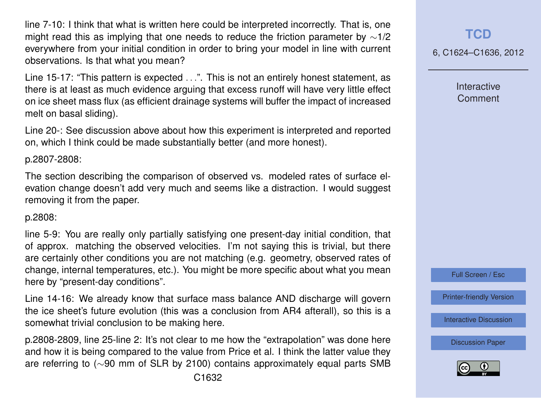line 7-10: I think that what is written here could be interpreted incorrectly. That is, one might read this as implying that one needs to reduce the friction parameter by ∼1/2 everywhere from your initial condition in order to bring your model in line with current observations. Is that what you mean?

Line 15-17: "This pattern is expected . . .". This is not an entirely honest statement, as there is at least as much evidence arguing that excess runoff will have very little effect on ice sheet mass flux (as efficient drainage systems will buffer the impact of increased melt on basal sliding).

Line 20-: See discussion above about how this experiment is interpreted and reported on, which I think could be made substantially better (and more honest).

#### p.2807-2808:

The section describing the comparison of observed vs. modeled rates of surface elevation change doesn't add very much and seems like a distraction. I would suggest removing it from the paper.

#### p.2808:

line 5-9: You are really only partially satisfying one present-day initial condition, that of approx. matching the observed velocities. I'm not saying this is trivial, but there are certainly other conditions you are not matching (e.g. geometry, observed rates of change, internal temperatures, etc.). You might be more specific about what you mean here by "present-day conditions".

Line 14-16: We already know that surface mass balance AND discharge will govern the ice sheet's future evolution (this was a conclusion from AR4 afterall), so this is a somewhat trivial conclusion to be making here.

p.2808-2809, line 25-line 2: It's not clear to me how the "extrapolation" was done here and how it is being compared to the value from Price et al. I think the latter value they are referring to (∼90 mm of SLR by 2100) contains approximately equal parts SMB

# **[TCD](http://www.the-cryosphere-discuss.net)**

6, C1624–C1636, 2012

**Interactive Comment** 



[Printer-friendly Version](http://www.the-cryosphere-discuss.net/6/C1624/2012/tcd-6-C1624-2012-print.pdf)

[Interactive Discussion](http://www.the-cryosphere-discuss.net/6/2789/2012/tcd-6-2789-2012-discussion.html)

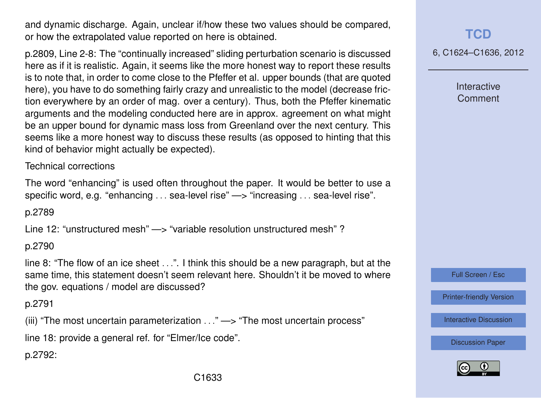and dynamic discharge. Again, unclear if/how these two values should be compared, or how the extrapolated value reported on here is obtained.

p.2809, Line 2-8: The "continually increased" sliding perturbation scenario is discussed here as if it is realistic. Again, it seems like the more honest way to report these results is to note that, in order to come close to the Pfeffer et al. upper bounds (that are quoted here), you have to do something fairly crazy and unrealistic to the model (decrease friction everywhere by an order of mag. over a century). Thus, both the Pfeffer kinematic arguments and the modeling conducted here are in approx. agreement on what might be an upper bound for dynamic mass loss from Greenland over the next century. This seems like a more honest way to discuss these results (as opposed to hinting that this kind of behavior might actually be expected).

Technical corrections

The word "enhancing" is used often throughout the paper. It would be better to use a specific word, e.g. "enhancing . . . sea-level rise" —> "increasing . . . sea-level rise".

p.2789

Line 12: "unstructured mesh" —> "variable resolution unstructured mesh" ?

p.2790

line 8: "The flow of an ice sheet . . .". I think this should be a new paragraph, but at the same time, this statement doesn't seem relevant here. Shouldn't it be moved to where the gov. equations / model are discussed?

p.2791

(iii) "The most uncertain parameterization  $\dots$ " —> "The most uncertain process"

line 18: provide a general ref. for "Elmer/Ice code".

p.2792:

**[TCD](http://www.the-cryosphere-discuss.net)**

6, C1624–C1636, 2012

Interactive Comment

Full Screen / Esc

[Printer-friendly Version](http://www.the-cryosphere-discuss.net/6/C1624/2012/tcd-6-C1624-2012-print.pdf)

[Interactive Discussion](http://www.the-cryosphere-discuss.net/6/2789/2012/tcd-6-2789-2012-discussion.html)

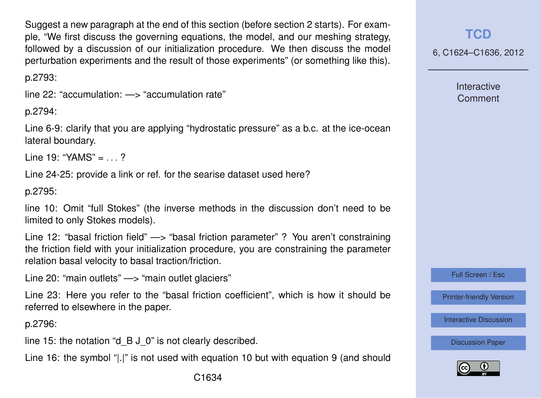Suggest a new paragraph at the end of this section (before section 2 starts). For example, "We first discuss the governing equations, the model, and our meshing strategy, followed by a discussion of our initialization procedure. We then discuss the model perturbation experiments and the result of those experiments" (or something like this).

p.2793:

line 22: "accumulation: —> "accumulation rate"

p.2794:

Line 6-9: clarify that you are applying "hydrostatic pressure" as a b.c. at the ice-ocean lateral boundary.

Line 19: "YAMS" = . . . ?

Line 24-25: provide a link or ref. for the searise dataset used here?

p.2795:

line 10: Omit "full Stokes" (the inverse methods in the discussion don't need to be limited to only Stokes models).

Line 12: "basal friction field" —> "basal friction parameter" ? You aren't constraining the friction field with your initialization procedure, you are constraining the parameter relation basal velocity to basal traction/friction.

Line 20: "main outlets" —> "main outlet glaciers"

Line 23: Here you refer to the "basal friction coefficient", which is how it should be referred to elsewhere in the paper.

p.2796:

line 15: the notation "d\_B J\_0" is not clearly described.

Line 16: the symbol "|.|" is not used with equation 10 but with equation 9 (and should

6, C1624–C1636, 2012

**Interactive Comment** 

Full Screen / Esc

[Printer-friendly Version](http://www.the-cryosphere-discuss.net/6/C1624/2012/tcd-6-C1624-2012-print.pdf)

[Interactive Discussion](http://www.the-cryosphere-discuss.net/6/2789/2012/tcd-6-2789-2012-discussion.html)

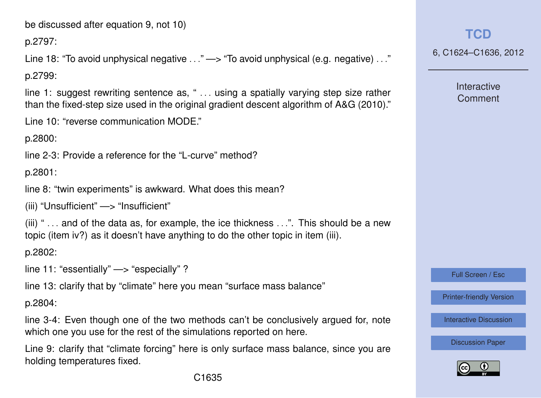be discussed after equation 9, not 10)

p.2797:

Line 18: "To avoid unphysical negative ..." —> "To avoid unphysical (e.g. negative) ..."

p.2799:

line 1: suggest rewriting sentence as, " . . . using a spatially varying step size rather than the fixed-step size used in the original gradient descent algorithm of A&G (2010)."

Line 10: "reverse communication MODE."

p.2800:

line 2-3: Provide a reference for the "L-curve" method?

p.2801:

line 8: "twin experiments" is awkward. What does this mean?

(iii) "Unsufficient" —> "Insufficient"

 $(iii)$  "... and of the data as, for example, the ice thickness  $\dots$ ". This should be a new topic (item iv?) as it doesn't have anything to do the other topic in item (iii).

p.2802:

line 11: "essentially" —> "especially" ?

line 13: clarify that by "climate" here you mean "surface mass balance"

p.2804:

line 3-4: Even though one of the two methods can't be conclusively argued for, note which one you use for the rest of the simulations reported on here.

Line 9: clarify that "climate forcing" here is only surface mass balance, since you are holding temperatures fixed.

**[TCD](http://www.the-cryosphere-discuss.net)**

6, C1624–C1636, 2012

**Interactive** Comment

Full Screen / Esc

[Printer-friendly Version](http://www.the-cryosphere-discuss.net/6/C1624/2012/tcd-6-C1624-2012-print.pdf)

[Interactive Discussion](http://www.the-cryosphere-discuss.net/6/2789/2012/tcd-6-2789-2012-discussion.html)